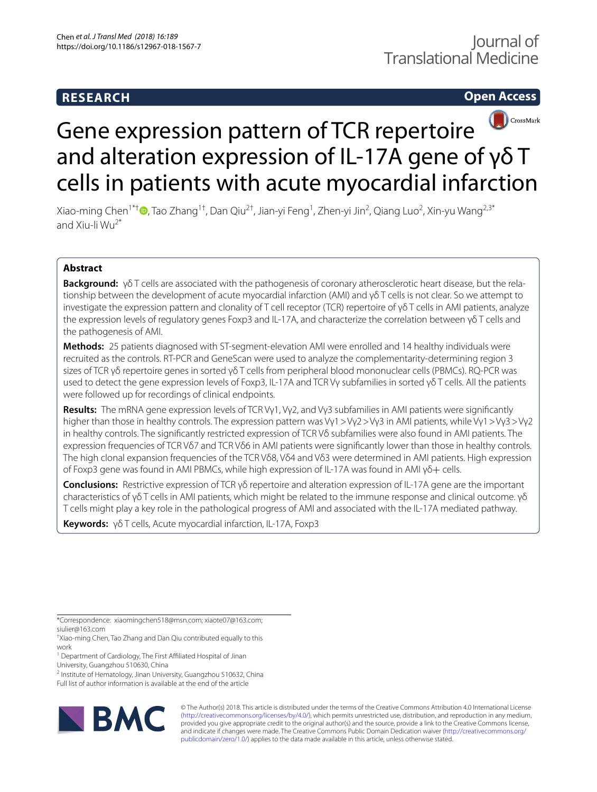# **RESEARCH**

# **Open Access**



# Gene expression pattern of TCR repertoire and alteration expression of IL-17A gene of γδ T cells in patients with acute myocardial infarction

Xiao-ming Chen $^{\atop{\uparrow}{\uparrow}}$   $\blacksquare$ [,](http://orcid.org/0000-0002-9041-6493) Tao Zhang $^{\dagger\dagger}$ , Dan Qiu $^{2\dagger}$ , Jian-yi Feng $^{\dagger}$ , Zhen-yi Jin $^2$ , Qiang Luo $^2$ , Xin-yu Wang $^{2,3^*}$ and Xiu-li  $Wu^{2*}$ 

# **Abstract**

**Background:** γδ T cells are associated with the pathogenesis of coronary atherosclerotic heart disease, but the rela‑ tionship between the development of acute myocardial infarction (AMI) and γδ T cells is not clear. So we attempt to investigate the expression pattern and clonality of T cell receptor (TCR) repertoire of γδ T cells in AMI patients, analyze the expression levels of regulatory genes Foxp3 and IL-17A, and characterize the correlation between γδ T cells and the pathogenesis of AMI.

**Methods:** 25 patients diagnosed with ST-segment-elevation AMI were enrolled and 14 healthy individuals were recruited as the controls. RT-PCR and GeneScan were used to analyze the complementarity-determining region 3 sizes of TCR γδ repertoire genes in sorted γδ T cells from peripheral blood mononuclear cells (PBMCs). RQ-PCR was used to detect the gene expression levels of Foxp3, IL-17A and TCR Vγ subfamilies in sorted γδ T cells. All the patients were followed up for recordings of clinical endpoints.

**Results:** The mRNA gene expression levels of TCR Vγ1, Vγ2, and Vγ3 subfamilies in AMI patients were signifcantly higher than those in healthy controls. The expression pattern was Vγ1>Vγ2>Vγ3 in AMI patients, while Vγ1>Vγ3>Vγ2 in healthy controls. The signifcantly restricted expression of TCR Vδ subfamilies were also found in AMI patients. The expression frequencies of TCR Vδ7 and TCR Vδ6 in AMI patients were signifcantly lower than those in healthy controls. The high clonal expansion frequencies of the TCR Vδ8, Vδ4 and Vδ3 were determined in AMI patients. High expression of Foxp3 gene was found in AMI PBMCs, while high expression of IL-17A was found in AMI γδ+ cells.

**Conclusions:** Restrictive expression of TCR γδ repertoire and alteration expression of IL-17A gene are the important characteristics of γδ T cells in AMI patients, which might be related to the immune response and clinical outcome. γδ T cells might play a key role in the pathological progress of AMI and associated with the IL-17A mediated pathway.

**Keywords:** γδ T cells, Acute myocardial infarction, IL-17A, Foxp3

\*Correspondence: xiaomingchen518@msn.com; xiaote07@163.com; siulier@163.com

† Xiao-ming Chen, Tao Zhang and Dan Qiu contributed equally to this work

<sup>1</sup> Department of Cardiology, The First Affiliated Hospital of Jinan

University, Guangzhou 510630, China

<sup>2</sup> Institute of Hematology, Jinan University, Guangzhou 510632, China

Full list of author information is available at the end of the article



© The Author(s) 2018. This article is distributed under the terms of the Creative Commons Attribution 4.0 International License [\(http://creativecommons.org/licenses/by/4.0/\)](http://creativecommons.org/licenses/by/4.0/), which permits unrestricted use, distribution, and reproduction in any medium, provided you give appropriate credit to the original author(s) and the source, provide a link to the Creative Commons license, and indicate if changes were made. The Creative Commons Public Domain Dedication waiver ([http://creativecommons.org/](http://creativecommons.org/publicdomain/zero/1.0/) [publicdomain/zero/1.0/](http://creativecommons.org/publicdomain/zero/1.0/)) applies to the data made available in this article, unless otherwise stated.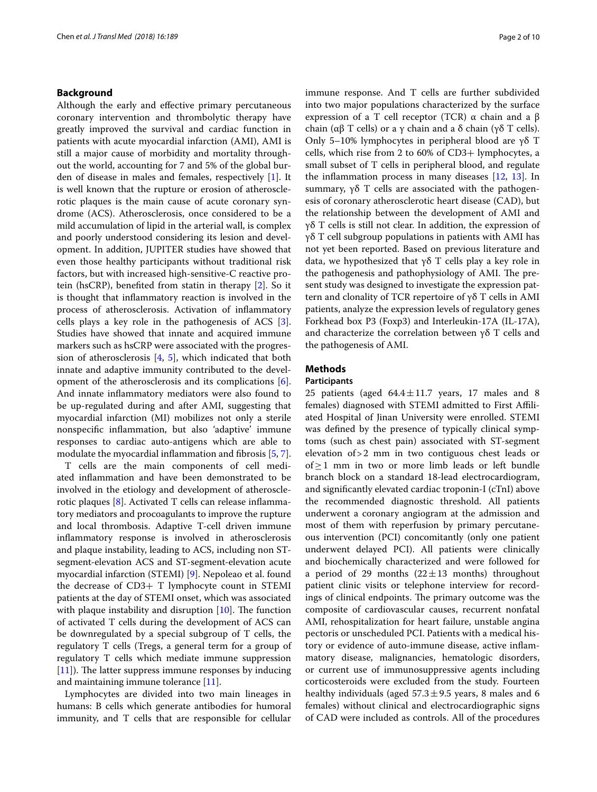# **Background**

Although the early and efective primary percutaneous coronary intervention and thrombolytic therapy have greatly improved the survival and cardiac function in patients with acute myocardial infarction (AMI), AMI is still a major cause of morbidity and mortality throughout the world, accounting for 7 and 5% of the global burden of disease in males and females, respectively [\[1](#page-8-0)]. It is well known that the rupture or erosion of atherosclerotic plaques is the main cause of acute coronary syndrome (ACS). Atherosclerosis, once considered to be a mild accumulation of lipid in the arterial wall, is complex and poorly understood considering its lesion and development. In addition, JUPITER studies have showed that even those healthy participants without traditional risk factors, but with increased high-sensitive-C reactive protein (hsCRP), benefted from statin in therapy [[2\]](#page-8-1). So it is thought that infammatory reaction is involved in the process of atherosclerosis. Activation of infammatory cells plays a key role in the pathogenesis of ACS [\[3](#page-8-2)]. Studies have showed that innate and acquired immune markers such as hsCRP were associated with the progression of atherosclerosis [[4,](#page-8-3) [5\]](#page-8-4), which indicated that both innate and adaptive immunity contributed to the development of the atherosclerosis and its complications [\[6](#page-8-5)]. And innate infammatory mediators were also found to be up-regulated during and after AMI, suggesting that myocardial infarction (MI) mobilizes not only a sterile nonspecifc infammation, but also 'adaptive' immune responses to cardiac auto-antigens which are able to modulate the myocardial inflammation and fibrosis [[5,](#page-8-4) [7](#page-8-6)].

T cells are the main components of cell mediated infammation and have been demonstrated to be involved in the etiology and development of atherosclerotic plaques [[8](#page-8-7)]. Activated T cells can release infammatory mediators and procoagulants to improve the rupture and local thrombosis. Adaptive T-cell driven immune infammatory response is involved in atherosclerosis and plaque instability, leading to ACS, including non STsegment-elevation ACS and ST-segment-elevation acute myocardial infarction (STEMI) [[9](#page-8-8)]. Nepoleao et al. found the decrease of CD3+ T lymphocyte count in STEMI patients at the day of STEMI onset, which was associated with plaque instability and disruption  $[10]$  $[10]$ . The function of activated T cells during the development of ACS can be downregulated by a special subgroup of T cells, the regulatory T cells (Tregs, a general term for a group of regulatory T cells which mediate immune suppression  $[11]$  $[11]$ ). The latter suppress immune responses by inducing and maintaining immune tolerance [[11\]](#page-8-10).

Lymphocytes are divided into two main lineages in humans: B cells which generate antibodies for humoral immunity, and T cells that are responsible for cellular immune response. And T cells are further subdivided into two major populations characterized by the surface expression of a T cell receptor (TCR)  $\alpha$  chain and a β chain (αβ T cells) or a γ chain and a δ chain (γδ T cells). Only 5–10% lymphocytes in peripheral blood are γδ T cells, which rise from 2 to 60% of CD3+ lymphocytes, a small subset of T cells in peripheral blood, and regulate the infammation process in many diseases [[12](#page-8-11), [13](#page-8-12)]. In summary,  $γδ T$  cells are associated with the pathogenesis of coronary atherosclerotic heart disease (CAD), but the relationship between the development of AMI and γδ T cells is still not clear. In addition, the expression of γδ T cell subgroup populations in patients with AMI has not yet been reported. Based on previous literature and data, we hypothesized that γδ T cells play a key role in the pathogenesis and pathophysiology of AMI. The present study was designed to investigate the expression pattern and clonality of TCR repertoire of γδ T cells in AMI patients, analyze the expression levels of regulatory genes Forkhead box P3 (Foxp3) and Interleukin-17A (IL-17A), and characterize the correlation between γδ T cells and the pathogenesis of AMI.

# **Methods**

# **Participants**

25 patients (aged  $64.4 \pm 11.7$  years, 17 males and 8 females) diagnosed with STEMI admitted to First Afliated Hospital of Jinan University were enrolled. STEMI was defned by the presence of typically clinical symptoms (such as chest pain) associated with ST-segment elevation of>2 mm in two contiguous chest leads or of≥1 mm in two or more limb leads or left bundle branch block on a standard 18-lead electrocardiogram, and signifcantly elevated cardiac troponin-I (cTnI) above the recommended diagnostic threshold. All patients underwent a coronary angiogram at the admission and most of them with reperfusion by primary percutaneous intervention (PCI) concomitantly (only one patient underwent delayed PCI). All patients were clinically and biochemically characterized and were followed for a period of 29 months  $(22 \pm 13$  months) throughout patient clinic visits or telephone interview for recordings of clinical endpoints. The primary outcome was the composite of cardiovascular causes, recurrent nonfatal AMI, rehospitalization for heart failure, unstable angina pectoris or unscheduled PCI. Patients with a medical history or evidence of auto-immune disease, active infammatory disease, malignancies, hematologic disorders, or current use of immunosuppressive agents including corticosteroids were excluded from the study. Fourteen healthy individuals (aged  $57.3 \pm 9.5$  years, 8 males and 6 females) without clinical and electrocardiographic signs of CAD were included as controls. All of the procedures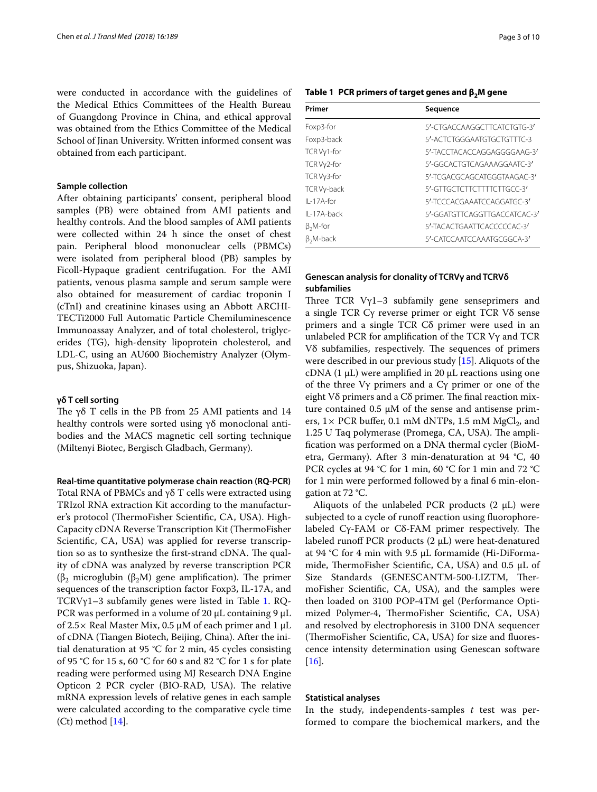were conducted in accordance with the guidelines of the Medical Ethics Committees of the Health Bureau of Guangdong Province in China, and ethical approval was obtained from the Ethics Committee of the Medical School of Jinan University. Written informed consent was obtained from each participant.

## **Sample collection**

After obtaining participants' consent, peripheral blood samples (PB) were obtained from AMI patients and healthy controls. And the blood samples of AMI patients were collected within 24 h since the onset of chest pain. Peripheral blood mononuclear cells (PBMCs) were isolated from peripheral blood (PB) samples by Ficoll-Hypaque gradient centrifugation. For the AMI patients, venous plasma sample and serum sample were also obtained for measurement of cardiac troponin I (cTnI) and creatinine kinases using an Abbott ARCHI-TECTi2000 Full Automatic Particle Chemiluminescence Immunoassay Analyzer, and of total cholesterol, triglycerides (TG), high-density lipoprotein cholesterol, and LDL-C, using an AU600 Biochemistry Analyzer (Olympus, Shizuoka, Japan).

# **γδ T cell sorting**

The γδ T cells in the PB from 25 AMI patients and 14 healthy controls were sorted using γδ monoclonal antibodies and the MACS magnetic cell sorting technique (Miltenyi Biotec, Bergisch Gladbach, Germany).

**Real‑time quantitative polymerase chain reaction (RQ‑PCR)**

Total RNA of PBMCs and γδ T cells were extracted using TRIzol RNA extraction Kit according to the manufacturer's protocol (ThermoFisher Scientific, CA, USA). High-Capacity cDNA Reverse Transcription Kit (ThermoFisher Scientifc, CA, USA) was applied for reverse transcription so as to synthesize the first-strand cDNA. The quality of cDNA was analyzed by reverse transcription PCR (β<sub>2</sub> microglubin (β<sub>2</sub>M) gene amplification). The primer sequences of the transcription factor Foxp3, IL-17A, and TCRV $y1-3$  $y1-3$  $y1-3$  subfamily genes were listed in Table 1. RQ-PCR was performed in a volume of 20 μL containing 9 μL of 2.5 × Real Master Mix, 0.5 μM of each primer and 1 μL of cDNA (Tiangen Biotech, Beijing, China). After the initial denaturation at 95 °C for 2 min, 45 cycles consisting of 95 °C for 15 s, 60 °C for 60 s and 82 °C for 1 s for plate reading were performed using MJ Research DNA Engine Opticon 2 PCR cycler (BIO-RAD, USA). The relative mRNA expression levels of relative genes in each sample were calculated according to the comparative cycle time (Ct) method [[14](#page-8-13)].

<span id="page-2-0"></span>

|  | Table 1 $\,$ PCR primers of target genes and $\beta_2$ M gene |  |  |  |  |
|--|---------------------------------------------------------------|--|--|--|--|
|--|---------------------------------------------------------------|--|--|--|--|

| Primer            | Sequence                     |
|-------------------|------------------------------|
| Foxp3-for         | 5'-CTGACCAAGGCTTCATCTGTG-3'  |
| Foxp3-back        | 5'-ACTCTGGGAATGTGCTGTTTC-3   |
| TCR Vy1-for       | 5'-TACCTACACCAGGAGGGGAAG-3'  |
| TCR Vy2-for       | 5'-GGCACTGTCAGAAAGGAATC-3'   |
| TCR Vy3-for       | 5'-TCGACGCAGCATGGGTAAGAC-3'  |
| TCR Vy-back       | 5'-GITGCICITCITTICITGCC-3'   |
| $II - 17A$ -for   | 5'-TCCCACGAAATCCAGGATGC-3'   |
| $II - 17A - back$ | 5'-GGATGTTCAGGTTGACCATCAC-3' |
| $\beta_2$ M-for   | 5'-TACACTGAATTCACCCCCAC-3'   |
| $\beta_2$ M-back  | 5'-CATCCAATCCAAATGCGGCA-3'   |

# **Genescan analysis for clonality of TCRVγ and TCRVδ subfamilies**

Three TCR  $V\gamma$ 1-3 subfamily gene senseprimers and a single TCR Cγ reverse primer or eight TCR Vδ sense primers and a single TCR Cδ primer were used in an unlabeled PCR for amplifcation of the TCR Vγ and TCR Vδ subfamilies, respectively. The sequences of primers were described in our previous study [\[15](#page-8-14)]. Aliquots of the cDNA (1 μL) were amplifed in 20 μL reactions using one of the three Vγ primers and a Cγ primer or one of the eight  $V\delta$  primers and a  $C\delta$  primer. The final reaction mixture contained 0.5 μM of the sense and antisense primers,  $1 \times$  PCR buffer, 0.1 mM dNTPs, 1.5 mM MgCl<sub>2</sub>, and 1.25 U Taq polymerase (Promega, CA, USA). The amplifcation was performed on a DNA thermal cycler (BioMetra, Germany). After 3 min-denaturation at 94 °C, 40 PCR cycles at 94 °C for 1 min, 60 °C for 1 min and 72 °C for 1 min were performed followed by a fnal 6 min-elongation at 72 °C.

Aliquots of the unlabeled PCR products  $(2 \mu L)$  were subjected to a cycle of runoff reaction using fluorophorelabeled  $Cγ$ -FAM or  $Cδ$ -FAM primer respectively. The labeled runoff PCR products  $(2 \mu L)$  were heat-denatured at 94 °C for 4 min with 9.5 μL formamide (Hi-DiFormamide, ThermoFisher Scientific, CA, USA) and  $0.5 \mu L$  of Size Standards (GENESCANTM-500-LIZTM, ThermoFisher Scientifc, CA, USA), and the samples were then loaded on 3100 POP-4TM gel (Performance Optimized Polymer-4, ThermoFisher Scientific, CA, USA) and resolved by electrophoresis in 3100 DNA sequencer (ThermoFisher Scientific, CA, USA) for size and fluorescence intensity determination using Genescan software [[16\]](#page-8-15).

# **Statistical analyses**

In the study, independents-samples *t* test was performed to compare the biochemical markers, and the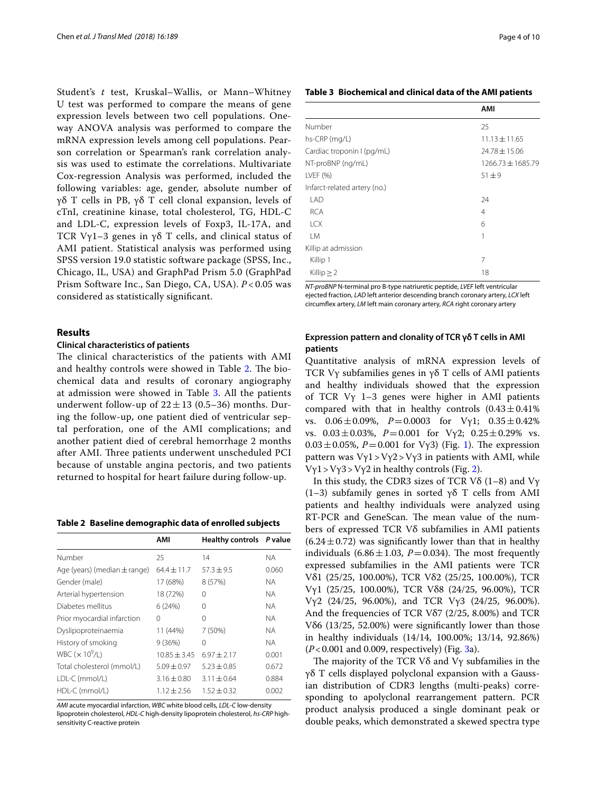Student's *t* test, Kruskal–Wallis, or Mann–Whitney U test was performed to compare the means of gene expression levels between two cell populations. Oneway ANOVA analysis was performed to compare the mRNA expression levels among cell populations. Pearson correlation or Spearman's rank correlation analysis was used to estimate the correlations. Multivariate Cox-regression Analysis was performed, included the following variables: age, gender, absolute number of γδ T cells in PB, γδ T cell clonal expansion, levels of cTnI, creatinine kinase, total cholesterol, TG, HDL-C and LDL-C, expression levels of Foxp3, IL-17A, and TCR Vγ1–3 genes in γδ T cells, and clinical status of AMI patient. Statistical analysis was performed using SPSS version 19.0 statistic software package (SPSS, Inc., Chicago, IL, USA) and GraphPad Prism 5.0 (GraphPad Prism Software Inc., San Diego, CA, USA). *P* < 0.05 was considered as statistically signifcant.

# **Results**

## **Clinical characteristics of patients**

The clinical characteristics of the patients with AMI and healthy controls were showed in Table [2.](#page-3-0) The biochemical data and results of coronary angiography at admission were showed in Table [3.](#page-3-1) All the patients underwent follow-up of  $22 \pm 13$  (0.5–36) months. During the follow-up, one patient died of ventricular septal perforation, one of the AMI complications; and another patient died of cerebral hemorrhage 2 months after AMI. Three patients underwent unscheduled PCI because of unstable angina pectoris, and two patients returned to hospital for heart failure during follow-up.

<span id="page-3-0"></span>**Table 2 Baseline demographic data of enrolled subjects**

|                                  | AMI             | Healthy controls P value |           |
|----------------------------------|-----------------|--------------------------|-----------|
| Number                           | 25              | 14                       | <b>NA</b> |
| Age (years) (median $\pm$ range) | $64.4 \pm 11.7$ | $57.3 \pm 9.5$           | 0.060     |
| Gender (male)                    | 17 (68%)        | 8 (57%)                  | ΝA        |
| Arterial hypertension            | 18 (72%)        | 0                        | <b>NA</b> |
| Diabetes mellitus                | 6(24%)          | 0                        | <b>NA</b> |
| Prior myocardial infarction      | $\Omega$        | $\Omega$                 | <b>NA</b> |
| Dyslipoproteinaemia              | 11 (44%)        | 7 (50%)                  | <b>NA</b> |
| History of smoking               | 9(36%)          | 0                        | <b>NA</b> |
| WBC $(x 10^9/L)$                 | $10.85 + 3.45$  | $6.97 + 2.17$            | 0.001     |
| Total cholesterol (mmol/L)       | $5.09 + 0.97$   | $5.23 + 0.85$            | 0.672     |
| LDL-C (mmol/L)                   | $3.16 + 0.80$   | $3.11 + 0.64$            | 0.884     |
| HDL-C (mmol/L)                   | $1.12 + 2.56$   | $1.52 + 0.32$            | 0.002     |
|                                  |                 |                          |           |

*AMI* acute myocardial infarction, *WBC* white blood cells, *LDL*-*C* low-density lipoprotein cholesterol, *HDL*-*C* high-density lipoprotein cholesterol, *hs*-*CRP* highsensitivity C-reactive protein

# <span id="page-3-1"></span>**Table 3 Biochemical and clinical data of the AMI patients**

|                              | AMI               |
|------------------------------|-------------------|
| Number                       | 25                |
| hs-CRP (mg/L)                | $11.13 \pm 11.65$ |
| Cardiac troponin I (pg/mL)   | $24.78 \pm 15.06$ |
| NT-proBNP (ng/mL)            | 1266.73 ± 1685.79 |
| LVEF (%)                     | $51 + 9$          |
| Infarct-related artery (no.) |                   |
| LAD                          | 24                |
| <b>RCA</b>                   | $\overline{4}$    |
| <b>LCX</b>                   | 6                 |
| <b>LM</b>                    | 1                 |
| Killip at admission          |                   |
| Killip 1                     | 7                 |
| Killip $\geq$ 2              | 18                |

*NT*-*proBNP* N-terminal pro B-type natriuretic peptide, *LVEF* left ventricular ejected fraction, *LAD* left anterior descending branch coronary artery, *LCX* left circumfex artery, *LM* left main coronary artery, *RCA* right coronary artery

# **Expression pattern and clonality of TCR γδ T cells in AMI patients**

Quantitative analysis of mRNA expression levels of TCR Vγ subfamilies genes in γδ T cells of AMI patients and healthy individuals showed that the expression of TCR Vγ 1–3 genes were higher in AMI patients compared with that in healthy controls  $(0.43 \pm 0.41\%)$ vs. 0.06±0.09%, *P*=0.0003 for Vγ1; 0.35±0.42% vs. 0.03±0.03%, *P*=0.001 for Vγ2; 0.25±0.29% vs.  $0.03 \pm 0.05$ %, *P*=0.00[1](#page-4-0) for Vy3) (Fig. 1). The expression pattern was  $Vy1 > Vy2 > Vy3$  in patients with AMI, while Vγ1 > Vγ3 > Vγ2 in healthy controls (Fig. [2\)](#page-4-1).

In this study, the CDR3 sizes of TCR V $\delta$  (1–8) and V $\gamma$ (1–3) subfamily genes in sorted γδ T cells from AMI patients and healthy individuals were analyzed using RT-PCR and GeneScan. The mean value of the numbers of expressed TCR Vδ subfamilies in AMI patients  $(6.24 \pm 0.72)$  was significantly lower than that in healthy individuals  $(6.86 \pm 1.03, P = 0.034)$ . The most frequently expressed subfamilies in the AMI patients were TCR Vδ1 (25/25, 100.00%), TCR Vδ2 (25/25, 100.00%), TCR Vγ1 (25/25, 100.00%), TCR Vδ8 (24/25, 96.00%), TCR Vγ2 (24/25, 96.00%), and TCR Vγ3 (24/25, 96.00%). And the frequencies of TCR Vδ7 (2/25, 8.00%) and TCR Vδ6 (13/25, 52.00%) were signifcantly lower than those in healthy individuals (14/14, 100.00%; 13/14, 92.86%) (*P*<0.001 and 0.009, respectively) (Fig. [3a](#page-4-2)).

The majority of the TCR  $V\delta$  and  $V\gamma$  subfamilies in the γδ T cells displayed polyclonal expansion with a Gaussian distribution of CDR3 lengths (multi-peaks) corresponding to apolyclonal rearrangement pattern. PCR product analysis produced a single dominant peak or double peaks, which demonstrated a skewed spectra type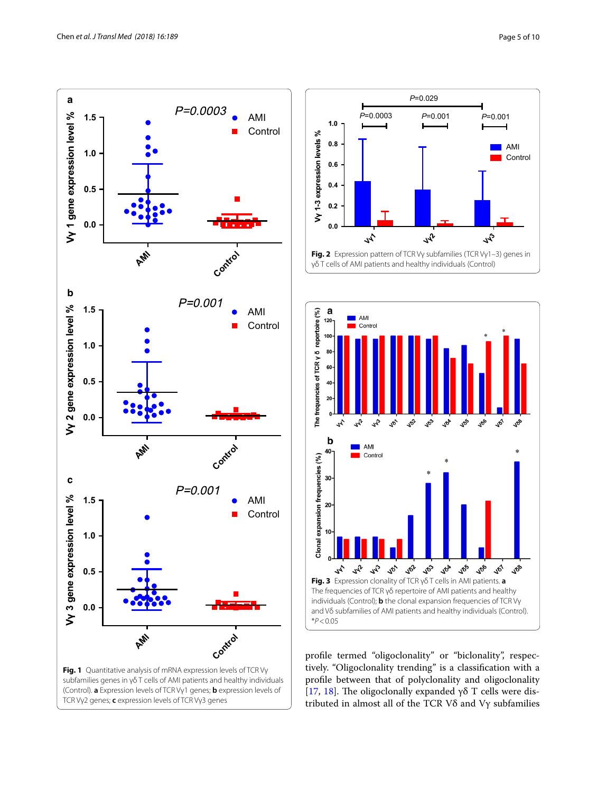



<span id="page-4-1"></span>

<span id="page-4-2"></span><span id="page-4-0"></span>profle termed "oligoclonality" or "biclonality", respectively. "Oligoclonality trending" is a classifcation with a profle between that of polyclonality and oligoclonality [[17,](#page-8-16) [18\]](#page-8-17). The oligoclonally expanded  $\gamma\delta$  T cells were distributed in almost all of the TCR Vδ and Vγ subfamilies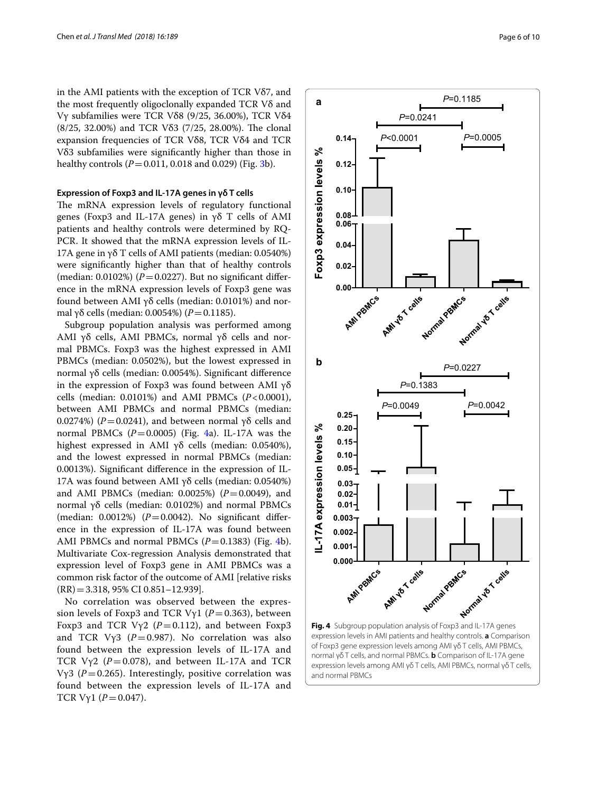in the AMI patients with the exception of TCR Vδ7, and the most frequently oligoclonally expanded TCR Vδ and Vγ subfamilies were TCR Vδ8 (9/25, 36.00%), TCR Vδ4  $(8/25, 32.00\%)$  and TCR V $\delta$ 3 (7/25, 28.00%). The clonal expansion frequencies of TCR Vδ8, TCR Vδ4 and TCR Vδ3 subfamilies were signifcantly higher than those in healthy controls (*P* = 0.011, 0.018 and 0.029) (Fig. [3](#page-4-2)b).

#### **Expression of Foxp3 and IL‑17A genes in γδ T cells**

The mRNA expression levels of regulatory functional genes (Foxp3 and IL-17A genes) in γδ T cells of AMI patients and healthy controls were determined by RQ-PCR. It showed that the mRNA expression levels of IL-17A gene in γδ T cells of AMI patients (median:  $0.0540\%$ ) were signifcantly higher than that of healthy controls (median:  $0.0102\%$ ) ( $P = 0.0227$ ). But no significant difference in the mRNA expression levels of Foxp3 gene was found between AMI γδ cells (median: 0.0101%) and normal γδ cells (median: 0.0054%) (*P* = 0.1185).

Subgroup population analysis was performed among AMI γδ cells, AMI PBMCs, normal γδ cells and normal PBMCs. Foxp3 was the highest expressed in AMI PBMCs (median: 0.0502%), but the lowest expressed in normal γδ cells (median: 0.0054%). Signifcant diference in the expression of Foxp3 was found between AMI  $\gamma\delta$ cells (median: 0.0101%) and AMI PBMCs (*P*<0.0001), between AMI PBMCs and normal PBMCs (median: 0.0274%) ( $P = 0.0241$ ), and between normal γδ cells and normal PBMCs  $(P=0.0005)$  (Fig. [4a](#page-5-0)). IL-17A was the highest expressed in AMI γδ cells (median: 0.0540%), and the lowest expressed in normal PBMCs (median: 0.0013%). Signifcant diference in the expression of IL-17A was found between AMI γδ cells (median: 0.0540%) and AMI PBMCs (median: 0.0025%) ( $P=0.0049$ ), and normal γδ cells (median: 0.0102%) and normal PBMCs (median:  $0.0012\%$ ) ( $P = 0.0042$ ). No significant difference in the expression of IL-17A was found between AMI PBMCs and normal PBMCs  $(P=0.1383)$  (Fig. [4b](#page-5-0)). Multivariate Cox-regression Analysis demonstrated that expression level of Foxp3 gene in AMI PBMCs was a common risk factor of the outcome of AMI [relative risks (RR)=3.318, 95% CI 0.851–12.939].

No correlation was observed between the expression levels of Foxp3 and TCR V $\gamma$ 1 (*P* = 0.363), between Foxp3 and TCR V $y2$  ( $P = 0.112$ ), and between Foxp3 and TCR V $\gamma$ 3 ( $P = 0.987$ ). No correlation was also found between the expression levels of IL-17A and TCR V $\gamma$ 2 ( $P = 0.078$ ), and between IL-17A and TCR Vγ3 ( $P = 0.265$ ). Interestingly, positive correlation was found between the expression levels of IL-17A and TCR  $V\gamma1 (P = 0.047)$ .



<span id="page-5-0"></span>expression levels in AMI patients and healthy controls. **a** Comparison of Foxp3 gene expression levels among AMI γδ T cells, AMI PBMCs, normal γδ T cells, and normal PBMCs. **b** Comparison of IL-17A gene expression levels among AMI γδ T cells, AMI PBMCs, normal γδ T cells, and normal PBMCs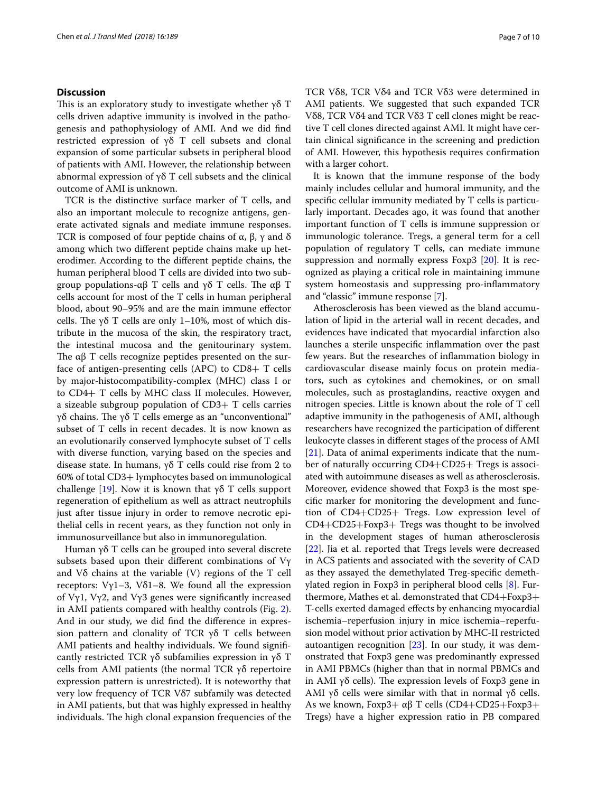# **Discussion**

This is an exploratory study to investigate whether  $\gamma \delta$  T cells driven adaptive immunity is involved in the pathogenesis and pathophysiology of AMI. And we did fnd restricted expression of γδ T cell subsets and clonal expansion of some particular subsets in peripheral blood of patients with AMI. However, the relationship between abnormal expression of γδ T cell subsets and the clinical outcome of AMI is unknown.

TCR is the distinctive surface marker of T cells, and also an important molecule to recognize antigens, generate activated signals and mediate immune responses. TCR is composed of four peptide chains of  $\alpha$ ,  $\beta$ ,  $\gamma$  and  $\delta$ among which two diferent peptide chains make up heterodimer. According to the diferent peptide chains, the human peripheral blood T cells are divided into two subgroup populations-αβ T cells and γδ T cells. The αβ T cells account for most of the T cells in human peripheral blood, about 90–95% and are the main immune efector cells. The γδ T cells are only 1–10%, most of which distribute in the mucosa of the skin, the respiratory tract, the intestinal mucosa and the genitourinary system. The  $\alpha\beta$  T cells recognize peptides presented on the surface of antigen-presenting cells (APC) to  $CD8+T$  cells by major-histocompatibility-complex (MHC) class I or to CD4+ T cells by MHC class II molecules. However, a sizeable subgroup population of CD3+ T cells carries γδ chains. The γδ T cells emerge as an "unconventional" subset of T cells in recent decades. It is now known as an evolutionarily conserved lymphocyte subset of T cells with diverse function, varying based on the species and disease state. In humans, γδ T cells could rise from 2 to 60% of total CD3+ lymphocytes based on immunological challenge [[19\]](#page-8-18). Now it is known that γδ T cells support regeneration of epithelium as well as attract neutrophils just after tissue injury in order to remove necrotic epithelial cells in recent years, as they function not only in immunosurveillance but also in immunoregulation.

Human γδ T cells can be grouped into several discrete subsets based upon their diferent combinations of Vγ and Vδ chains at the variable (V) regions of the T cell receptors: Vγ1–3, Vδ1–8. We found all the expression of Vγ1, Vγ2, and Vγ3 genes were significantly increased in AMI patients compared with healthy controls (Fig. [2](#page-4-1)). And in our study, we did fnd the diference in expression pattern and clonality of TCR γδ T cells between AMI patients and healthy individuals. We found signifcantly restricted TCR γδ subfamilies expression in γδ T cells from AMI patients (the normal TCR γδ repertoire expression pattern is unrestricted). It is noteworthy that very low frequency of TCR Vδ7 subfamily was detected in AMI patients, but that was highly expressed in healthy individuals. The high clonal expansion frequencies of the TCR Vδ8, TCR Vδ4 and TCR Vδ3 were determined in AMI patients. We suggested that such expanded TCR Vδ8, TCR Vδ4 and TCR Vδ3 T cell clones might be reactive T cell clones directed against AMI. It might have certain clinical signifcance in the screening and prediction of AMI. However, this hypothesis requires confrmation with a larger cohort.

It is known that the immune response of the body mainly includes cellular and humoral immunity, and the specifc cellular immunity mediated by T cells is particularly important. Decades ago, it was found that another important function of T cells is immune suppression or immunologic tolerance. Tregs, a general term for a cell population of regulatory T cells, can mediate immune suppression and normally express Foxp3 [[20\]](#page-8-19). It is recognized as playing a critical role in maintaining immune system homeostasis and suppressing pro-infammatory and "classic" immune response [[7\]](#page-8-6).

Atherosclerosis has been viewed as the bland accumulation of lipid in the arterial wall in recent decades, and evidences have indicated that myocardial infarction also launches a sterile unspecifc infammation over the past few years. But the researches of infammation biology in cardiovascular disease mainly focus on protein mediators, such as cytokines and chemokines, or on small molecules, such as prostaglandins, reactive oxygen and nitrogen species. Little is known about the role of T cell adaptive immunity in the pathogenesis of AMI, although researchers have recognized the participation of diferent leukocyte classes in diferent stages of the process of AMI [[21\]](#page-8-20). Data of animal experiments indicate that the number of naturally occurring CD4+CD25+ Tregs is associated with autoimmune diseases as well as atherosclerosis. Moreover, evidence showed that Foxp3 is the most specifc marker for monitoring the development and function of CD4+CD25+ Tregs. Low expression level of CD4+CD25+Foxp3+ Tregs was thought to be involved in the development stages of human atherosclerosis [[22\]](#page-8-21). Jia et al. reported that Tregs levels were decreased in ACS patients and associated with the severity of CAD as they assayed the demethylated Treg-specifc demethylated region in Foxp3 in peripheral blood cells [[8\]](#page-8-7). Furthermore, Mathes et al. demonstrated that CD4+Foxp3+ T-cells exerted damaged efects by enhancing myocardial ischemia–reperfusion injury in mice ischemia–reperfusion model without prior activation by MHC-II restricted autoantigen recognition [\[23\]](#page-8-22). In our study, it was demonstrated that Foxp3 gene was predominantly expressed in AMI PBMCs (higher than that in normal PBMCs and in AMI  $\gamma\delta$  cells). The expression levels of Foxp3 gene in AMI γδ cells were similar with that in normal γδ cells. As we known, Foxp3+  $\alpha\beta$  T cells (CD4+CD25+Foxp3+ Tregs) have a higher expression ratio in PB compared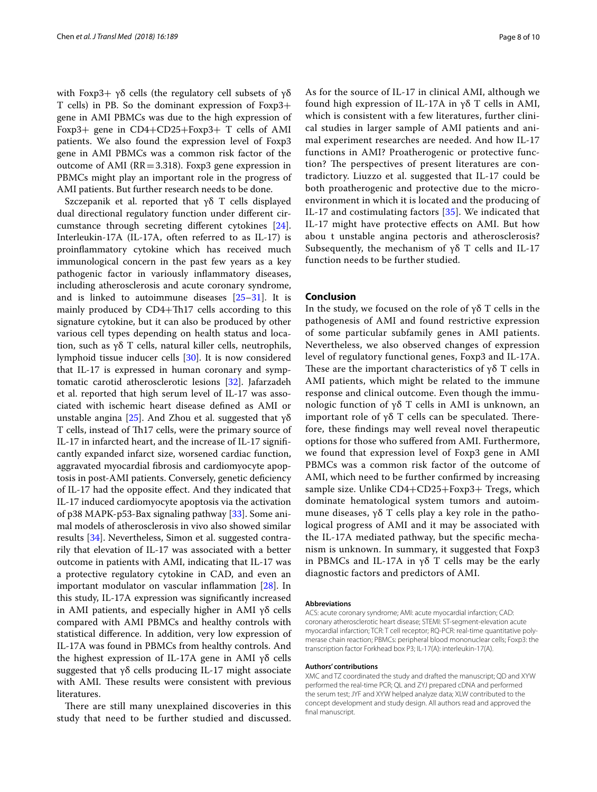with Foxp3+ γδ cells (the regulatory cell subsets of γδ T cells) in PB. So the dominant expression of Foxp3+ gene in AMI PBMCs was due to the high expression of Foxp3+ gene in CD4+CD25+Foxp3+ T cells of AMI patients. We also found the expression level of Foxp3 gene in AMI PBMCs was a common risk factor of the outcome of AMI (RR=3.318). Foxp3 gene expression in PBMCs might play an important role in the progress of AMI patients. But further research needs to be done.

Szczepanik et al. reported that γδ T cells displayed dual directional regulatory function under diferent circumstance through secreting diferent cytokines [\[24](#page-8-23)]. Interleukin-17A (IL-17A, often referred to as IL-17) is proinfammatory cytokine which has received much immunological concern in the past few years as a key pathogenic factor in variously infammatory diseases, including atherosclerosis and acute coronary syndrome, and is linked to autoimmune diseases [\[25](#page-8-24)–[31\]](#page-9-0). It is mainly produced by CD4+Th17 cells according to this signature cytokine, but it can also be produced by other various cell types depending on health status and location, such as γδ T cells, natural killer cells, neutrophils, lymphoid tissue inducer cells [[30\]](#page-9-1). It is now considered that IL-17 is expressed in human coronary and symptomatic carotid atherosclerotic lesions [[32\]](#page-9-2). Jafarzadeh et al. reported that high serum level of IL-17 was associated with ischemic heart disease defned as AMI or unstable angina [\[25](#page-8-24)]. And Zhou et al. suggested that γδ T cells, instead of Th17 cells, were the primary source of IL-17 in infarcted heart, and the increase of IL-17 signifcantly expanded infarct size, worsened cardiac function, aggravated myocardial fbrosis and cardiomyocyte apoptosis in post-AMI patients. Conversely, genetic defciency of IL-17 had the opposite efect. And they indicated that IL-17 induced cardiomyocyte apoptosis via the activation of p38 MAPK-p53-Bax signaling pathway [\[33](#page-9-3)]. Some animal models of atherosclerosis in vivo also showed similar results [[34\]](#page-9-4). Nevertheless, Simon et al. suggested contrarily that elevation of IL-17 was associated with a better outcome in patients with AMI, indicating that IL-17 was a protective regulatory cytokine in CAD, and even an important modulator on vascular infammation [[28\]](#page-8-25). In this study, IL-17A expression was signifcantly increased in AMI patients, and especially higher in AMI γδ cells compared with AMI PBMCs and healthy controls with statistical diference. In addition, very low expression of IL-17A was found in PBMCs from healthy controls. And the highest expression of IL-17A gene in AMI γδ cells suggested that γδ cells producing IL-17 might associate with AMI. These results were consistent with previous literatures.

There are still many unexplained discoveries in this study that need to be further studied and discussed. As for the source of IL-17 in clinical AMI, although we found high expression of IL-17A in γδ T cells in AMI, which is consistent with a few literatures, further clinical studies in larger sample of AMI patients and animal experiment researches are needed. And how IL-17 functions in AMI? Proatherogenic or protective function? The perspectives of present literatures are contradictory. Liuzzo et al. suggested that IL-17 could be both proatherogenic and protective due to the microenvironment in which it is located and the producing of IL-17 and costimulating factors [\[35\]](#page-9-5). We indicated that IL-17 might have protective efects on AMI. But how abou t unstable angina pectoris and atherosclerosis? Subsequently, the mechanism of γδ T cells and IL-17 function needs to be further studied.

# **Conclusion**

In the study, we focused on the role of  $\gamma\delta$  T cells in the pathogenesis of AMI and found restrictive expression of some particular subfamily genes in AMI patients. Nevertheless, we also observed changes of expression level of regulatory functional genes, Foxp3 and IL-17A. These are the important characteristics of  $\gamma\delta$  T cells in AMI patients, which might be related to the immune response and clinical outcome. Even though the immunologic function of γδ T cells in AMI is unknown, an important role of γδ T cells can be speculated. Therefore, these fndings may well reveal novel therapeutic options for those who sufered from AMI. Furthermore, we found that expression level of Foxp3 gene in AMI PBMCs was a common risk factor of the outcome of AMI, which need to be further confrmed by increasing sample size. Unlike CD4+CD25+Foxp3+ Tregs, which dominate hematological system tumors and autoimmune diseases, γδ T cells play a key role in the pathological progress of AMI and it may be associated with the IL-17A mediated pathway, but the specifc mechanism is unknown. In summary, it suggested that Foxp3 in PBMCs and IL-17A in γδ T cells may be the early diagnostic factors and predictors of AMI.

#### **Abbreviations**

ACS: acute coronary syndrome; AMI: acute myocardial infarction; CAD: coronary atherosclerotic heart disease; STEMI: ST-segment-elevation acute myocardial infarction; TCR: T cell receptor; RQ-PCR: real-time quantitative polymerase chain reaction; PBMCs: peripheral blood mononuclear cells; Foxp3: the transcription factor Forkhead box P3; IL-17(A): interleukin-17(A).

#### **Authors' contributions**

XMC and TZ coordinated the study and drafted the manuscript; QD and XYW performed the real-time PCR; QL and ZYJ prepared cDNA and performed the serum test; JYF and XYW helped analyze data; XLW contributed to the concept development and study design. All authors read and approved the final manuscript.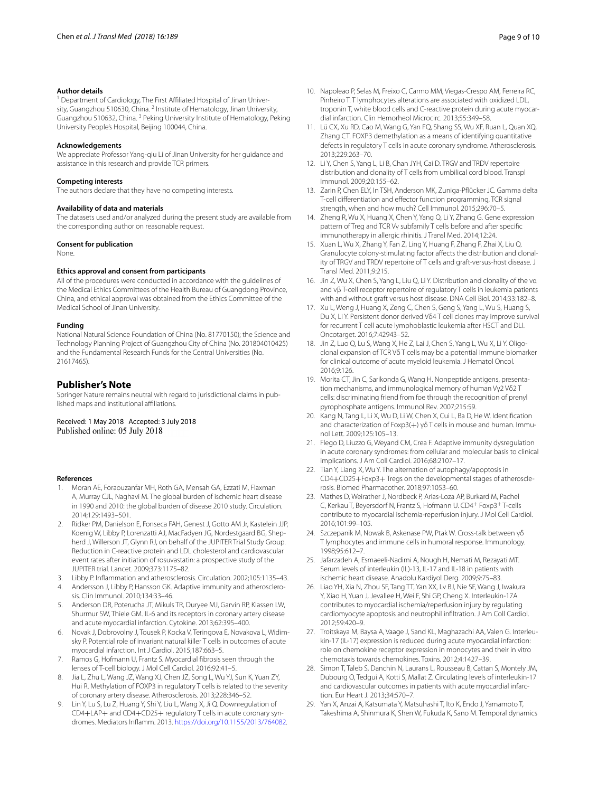#### **Author details**

Department of Cardiology, The First Affiliated Hospital of Jinan University, Guangzhou 510630, China. <sup>2</sup> Institute of Hematology, Jinan University, Guangzhou 510632, China. 3 Peking University Institute of Hematology, Peking University People's Hospital, Beijing 100044, China.

#### **Acknowledgements**

We appreciate Professor Yang-qiu Li of Jinan University for her guidance and assistance in this research and provide TCR primers.

#### **Competing interests**

The authors declare that they have no competing interests.

#### **Availability of data and materials**

The datasets used and/or analyzed during the present study are available from the corresponding author on reasonable request.

#### **Consent for publication**

None.

# **Ethics approval and consent from participants**

All of the procedures were conducted in accordance with the guidelines of the Medical Ethics Committees of the Health Bureau of Guangdong Province, China, and ethical approval was obtained from the Ethics Committee of the Medical School of Jinan University.

#### **Funding**

National Natural Science Foundation of China (No. 81770150); the Science and Technology Planning Project of Guangzhou City of China (No. 201804010425) and the Fundamental Research Funds for the Central Universities (No. 21617465).

# **Publisher's Note**

Springer Nature remains neutral with regard to jurisdictional claims in published maps and institutional afliations.

Received: 1 May 2018 Accepted: 3 July 2018<br>Published online: 05 July 2018

#### **References**

- <span id="page-8-0"></span>1. Moran AE, Foraouzanfar MH, Roth GA, Mensah GA, Ezzati M, Flaxman A, Murray CJL, Naghavi M. The global burden of ischemic heart disease in 1990 and 2010: the global burden of disease 2010 study. Circulation. 2014;129:1493–501.
- <span id="page-8-1"></span>2. Ridker PM, Danielson E, Fonseca FAH, Genest J, Gotto AM Jr, Kastelein JJP, Koenig W, Libby P, Lorenzatti AJ, MacFadyen JG, Nordestgaard BG, Shepherd J, Willerson JT, Glynn RJ, on behalf of the JUPITER Trial Study Group. Reduction in C-reactive protein and LDL cholesterol and cardiovascular event rates after initiation of rosuvastatin: a prospective study of the JUPITER trial. Lancet. 2009;373:1175–82.
- <span id="page-8-2"></span>3. Libby P. Infammation and atherosclerosis. Circulation. 2002;105:1135–43.
- <span id="page-8-3"></span>4. Andersson J, Libby P, Hansson GK. Adaptive immunity and atherosclerosis. Clin Immunol. 2010;134:33–46.
- <span id="page-8-4"></span>5. Anderson DR, Poterucha JT, Mikuls TR, Duryee MJ, Garvin RP, Klassen LW, Shurmur SW, Thiele GM. IL-6 and its receptors in coronary artery disease and acute myocardial infarction. Cytokine. 2013;62:395–400.
- <span id="page-8-5"></span>6. Novak J, Dobrovolny J, Tousek P, Kocka V, Teringova E, Novakova L, Widimsky P. Potential role of invariant natural killer T cells in outcomes of acute myocardial infarction. Int J Cardiol. 2015;187:663–5.
- <span id="page-8-6"></span>7. Ramos G, Hofmann U, Frantz S. Myocardial fbrosis seen through the lenses of T-cell biology. J Mol Cell Cardiol. 2016;92:41–5.
- <span id="page-8-7"></span>8. Jia L, Zhu L, Wang JZ, Wang XJ, Chen JZ, Song L, Wu YJ, Sun K, Yuan ZY, Hui R. Methylation of FOXP3 in regulatory T cells is related to the severity of coronary artery disease. Atherosclerosis. 2013;228:346–52.
- <span id="page-8-8"></span>9. Lin Y, Lu S, Lu Z, Huang Y, Shi Y, Liu L, Wang X, Ji Q. Downregulation of CD4+LAP+ and CD4+CD25+ regulatory T cells in acute coronary syndromes. Mediators Infamm. 2013.<https://doi.org/10.1155/2013/764082>.
- <span id="page-8-10"></span><span id="page-8-9"></span>11. Lü CX, Xu RD, Cao M, Wang G, Yan FQ, Shang SS, Wu XF, Ruan L, Quan XQ, Zhang CT. FOXP3 demethylation as a means of identifying quantitative defects in regulatory T cells in acute coronary syndrome. Atherosclerosis. 2013;229:263–70.
- <span id="page-8-11"></span>12. Li Y, Chen S, Yang L, Li B, Chan JYH, Cai D. TRGV and TRDV repertoire distribution and clonality of T cells from umbilical cord blood. Transpl Immunol. 2009;20:155–62.
- <span id="page-8-12"></span>13. Zarin P, Chen ELY, In TSH, Anderson MK, Zuniga-Pfücker JC. Gamma delta T-cell diferentiation and efector function programming, TCR signal strength, when and how much? Cell Immunol. 2015;296:70–5.
- <span id="page-8-13"></span>14. Zheng R, Wu X, Huang X, Chen Y, Yang Q, Li Y, Zhang G. Gene expression pattern of Treg and TCR Vγ subfamily T cells before and after specifc immunotherapy in allergic rhinitis. J Transl Med. 2014;12:24.
- <span id="page-8-14"></span>15. Xuan L, Wu X, Zhang Y, Fan Z, Ling Y, Huang F, Zhang F, Zhai X, Liu Q. Granulocyte colony-stimulating factor affects the distribution and clonality of TRGV and TRDV repertoire of T cells and graft-versus-host disease. J Transl Med. 2011;9:215.
- <span id="page-8-15"></span>16. Jin Z, Wu X, Chen S, Yang L, Liu Q, Li Y. Distribution and clonality of the va and vβ T-cell receptor repertoire of regulatory T cells in leukemia patients with and without graft versus host disease. DNA Cell Biol. 2014;33:182–8.
- <span id="page-8-16"></span>17. Xu L, Weng J, Huang X, Zeng C, Chen S, Geng S, Yang L, Wu S, Huang S, Du X, Li Y. Persistent donor derived Vδ4 T cell clones may improve survival for recurrent T cell acute lymphoblastic leukemia after HSCT and DLI. Oncotarget. 2016;7:42943–52.
- <span id="page-8-17"></span>18. Jin Z, Luo Q, Lu S, Wang X, He Z, Lai J, Chen S, Yang L, Wu X, Li Y. Oligoclonal expansion of TCR Vδ T cells may be a potential immune biomarker for clinical outcome of acute myeloid leukemia. J Hematol Oncol. 2016;9:126.
- <span id="page-8-18"></span>19. Morita CT, Jin C, Sarikonda G, Wang H. Nonpeptide antigens, presentation mechanisms, and immunological memory of human Vγ2 Vδ2 T cells: discriminating friend from foe through the recognition of prenyl pyrophosphate antigens. Immunol Rev. 2007;215:59.
- <span id="page-8-19"></span>20. Kang N, Tang L, Li X, Wu D, Li W, Chen X, Cui L, Ba D, He W. Identifcation and characterization of Foxp3(+) γδ T cells in mouse and human. Immunol Lett. 2009;125:105–13.
- <span id="page-8-20"></span>21. Flego D, Liuzzo G, Weyand CM, Crea F. Adaptive immunity dysregulation in acute coronary syndromes: from cellular and molecular basis to clinical implications. J Am Coll Cardiol. 2016;68:2107–17.
- <span id="page-8-21"></span>22. Tian Y, Liang X, Wu Y. The alternation of autophagy/apoptosis in CD4+CD25+Foxp3+ Tregs on the developmental stages of atheroscle‑ rosis. Biomed Pharmacother. 2018;97:1053–60.
- <span id="page-8-22"></span>23. Mathes D, Weirather J, Nordbeck P, Arias-Loza AP, Burkard M, Pachel C, Kerkau T, Beyersdorf N, Frantz S, Hofmann U. CD4+ Foxp3+T-cells contribute to myocardial ischemia-reperfusion injury. J Mol Cell Cardiol. 2016;101:99–105.
- <span id="page-8-23"></span>24. Szczepanik M, Nowak B, Askenase PW, Ptak W. Cross-talk between γδ T lymphocytes and immune cells in humoral response. Immunology. 1998;95:612–7.
- <span id="page-8-24"></span>25. Jafarzadeh A, Esmaeeli-Nadimi A, Nough H, Nemati M, Rezayati MT. Serum levels of interleukin (IL)-13, IL-17 and IL-18 in patients with ischemic heart disease. Anadolu Kardiyol Derg. 2009;9:75–83.
- 26. Liao YH, Xia N, Zhou SF, Tang TT, Yan XX, Lv BJ, Nie SF, Wang J, Iwakura Y, Xiao H, Yuan J, Jevallee H, Wei F, Shi GP, Cheng X. Interleukin-17A contributes to myocardial ischemia/reperfusion injury by regulating cardiomyocyte apoptosis and neutrophil infltration. J Am Coll Cardiol. 2012;59:420–9.
- 27. Troitskaya M, Baysa A, Vaage J, Sand KL, Maghazachi AA, Valen G. Interleukin-17 (IL-17) expression is reduced during acute myocardial infarction: role on chemokine receptor expression in monocytes and their in vitro chemotaxis towards chemokines. Toxins. 2012;4:1427–39.
- <span id="page-8-25"></span>28. Simon T, Taleb S, Danchin N, Laurans L, Rousseau B, Cattan S, Montely JM, Dubourg O, Tedgui A, Kotti S, Mallat Z. Circulating levels of interleukin-17 and cardiovascular outcomes in patients with acute myocardial infarction. Eur Heart J. 2013;34:570–7.
- 29. Yan X, Anzai A, Katsumata Y, Matsuhashi T, Ito K, Endo J, Yamamoto T, Takeshima A, Shinmura K, Shen W, Fukuda K, Sano M. Temporal dynamics